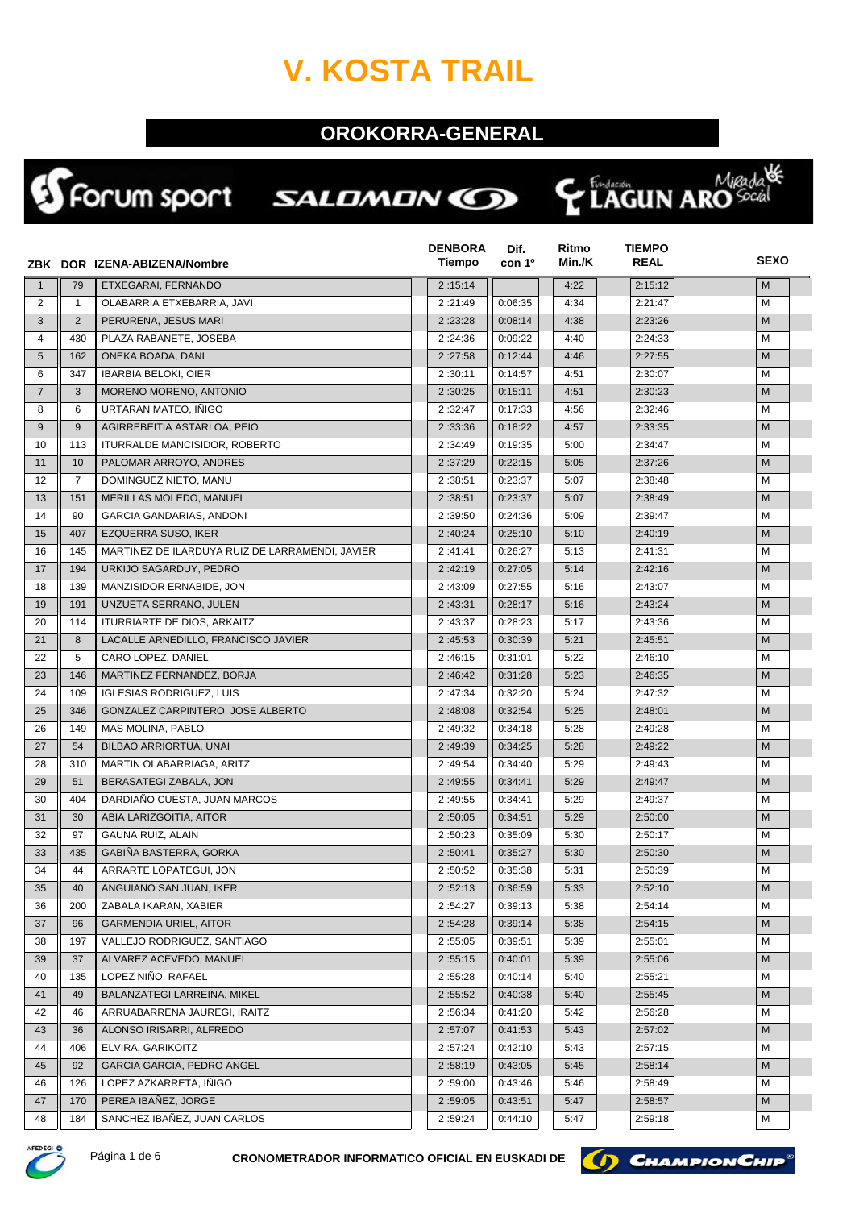## **V. KOSTA TRAIL**

## **OROKORRA-GENERAL**

侏

Kidada<br>**LAGUN ARO** Social

Ç

## SForum sport SALDMON CO

|                |                | ZBK DOR IZENA-ABIZENA/Nombre                    | <b>DENBORA</b><br>Tiempo | Dif.<br>con 1 <sup>o</sup> | Ritmo<br>Min./K | <b>TIEMPO</b><br><b>REAL</b> | <b>SEXO</b> |
|----------------|----------------|-------------------------------------------------|--------------------------|----------------------------|-----------------|------------------------------|-------------|
| $\mathbf{1}$   | 79             | ETXEGARAI, FERNANDO                             | 2:15:14                  |                            | 4:22            | 2:15:12                      | M           |
| 2              | $\mathbf{1}$   | OLABARRIA ETXEBARRIA, JAVI                      | 2:21:49                  | 0:06:35                    | 4:34            | 2:21:47                      | М           |
| 3              | 2              | PERURENA, JESUS MARI                            | 2:23:28                  | 0:08:14                    | 4:38            | 2:23:26                      | M           |
| $\overline{4}$ | 430            | PLAZA RABANETE, JOSEBA                          | 2:24:36                  | 0:09:22                    | 4:40            | 2:24:33                      | м           |
| 5              | 162            | ONEKA BOADA, DANI                               | 2:27:58                  | 0:12:44                    | 4:46            | 2:27:55                      | M           |
| 6              | 347            | <b>IBARBIA BELOKI, OIER</b>                     | 2:30:11                  | 0:14:57                    | 4:51            | 2:30:07                      | М           |
| $\overline{7}$ | 3              | MORENO MORENO, ANTONIO                          | 2:30:25                  | 0:15:11                    | 4:51            | 2:30:23                      | M           |
| 8              | 6              | URTARAN MATEO, IÑIGO                            | 2:32:47                  | 0:17:33                    | 4:56            | 2:32:46                      | М           |
| 9              | 9              | AGIRREBEITIA ASTARLOA, PEIO                     | 2:33:36                  | 0:18:22                    | 4:57            | 2:33:35                      | M           |
| 10             | 113            | ITURRALDE MANCISIDOR, ROBERTO                   | 2:34:49                  | 0:19:35                    | 5:00            | 2:34:47                      | М           |
| 11             | 10             | PALOMAR ARROYO, ANDRES                          | 2:37:29                  | 0:22:15                    | 5:05            | 2:37:26                      | M           |
| 12             | $\overline{7}$ | DOMINGUEZ NIETO, MANU                           | 2:38:51                  | 0:23:37                    | 5:07            | 2:38:48                      | М           |
| 13             | 151            | MERILLAS MOLEDO, MANUEL                         | 2:38:51                  | 0:23:37                    | 5:07            | 2:38:49                      | M           |
| 14             | 90             | <b>GARCIA GANDARIAS, ANDONI</b>                 | 2:39:50                  | 0:24:36                    | 5:09            | 2:39:47                      | М           |
| 15             | 407            | EZQUERRA SUSO, IKER                             | 2:40:24                  | 0:25:10                    | 5:10            | 2:40:19                      | M           |
| 16             | 145            | MARTINEZ DE ILARDUYA RUIZ DE LARRAMENDI, JAVIER | 2:41:41                  | 0:26:27                    | 5:13            | 2:41:31                      | м           |
| 17             | 194            | URKIJO SAGARDUY, PEDRO                          | 2:42:19                  | 0:27:05                    | 5:14            | 2:42:16                      | M           |
| 18             | 139            | MANZISIDOR ERNABIDE, JON                        | 2:43:09                  | 0:27:55                    | 5:16            | 2:43:07                      | М           |
| 19             | 191            | UNZUETA SERRANO, JULEN                          | 2:43:31                  | 0:28:17                    | 5:16            | 2:43:24                      | M           |
| 20             | 114            | ITURRIARTE DE DIOS, ARKAITZ                     | 2:43:37                  | 0:28:23                    | 5:17            | 2:43:36                      | м           |
| 21             | 8              | LACALLE ARNEDILLO, FRANCISCO JAVIER             | 2:45:53                  | 0:30:39                    | 5:21            | 2:45:51                      | M           |
| 22             | 5              | CARO LOPEZ, DANIEL                              | 2:46:15                  | 0:31:01                    | 5:22            | 2:46:10                      | М           |
| 23             | 146            | MARTINEZ FERNANDEZ, BORJA                       | 2:46:42                  | 0:31:28                    | 5:23            | 2:46:35                      | M           |
| 24             | 109            | <b>IGLESIAS RODRIGUEZ, LUIS</b>                 | 2:47:34                  | 0:32:20                    | 5:24            | 2:47:32                      | М           |
| 25             | 346            | GONZALEZ CARPINTERO, JOSE ALBERTO               | 2:48:08                  | 0:32:54                    | 5:25            | 2:48:01                      | M           |
| 26             | 149            | MAS MOLINA, PABLO                               | 2:49:32                  | 0:34:18                    | 5:28            | 2:49:28                      | М           |
| 27             | 54             | BILBAO ARRIORTUA, UNAI                          | 2:49:39                  | 0:34:25                    | 5:28            | 2:49:22                      | M           |
| 28             | 310            | MARTIN OLABARRIAGA, ARITZ                       | 2:49:54                  | 0:34:40                    | 5:29            | 2:49:43                      | M           |
| 29             | 51             | BERASATEGI ZABALA, JON                          | 2:49:55                  | 0:34:41                    | 5:29            | 2:49:47                      | M           |
| 30             | 404            | DARDIAÑO CUESTA, JUAN MARCOS                    | 2:49:55                  | 0:34:41                    | 5:29            | 2:49:37                      | M           |
| 31             | 30             | ABIA LARIZGOITIA, AITOR                         | 2:50:05                  | 0:34:51                    | 5:29            | 2:50:00                      | M           |
| 32             | 97             | GAUNA RUIZ, ALAIN                               | 2:50:23                  | 0:35:09                    | 5:30            | 2:50:17                      | M           |
| 33             | 435            | GABIÑA BASTERRA, GORKA                          | 2:50:41                  | 0:35:27                    | 5:30            | 2:50:30                      | M           |
| 34             | 44             | ARRARTE LOPATEGUI, JON                          | 2:50:52                  | 0:35:38                    | 5:31            | 2:50:39                      | М           |
| 35             | 40             | ANGUIANO SAN JUAN, IKER                         | 2:52:13                  | 0:36:59                    | 5:33            | 2:52:10                      | M           |
| 36             | 200            | ZABALA IKARAN, XABIER                           | 2:54:27                  | 0:39:13                    | 5:38            | 2:54:14                      | М           |
| 37             | 96             | <b>GARMENDIA URIEL, AITOR</b>                   | 2:54:28                  | 0:39:14                    | 5:38            | 2:54:15                      | M           |
| 38             | 197            | VALLEJO RODRIGUEZ, SANTIAGO                     | 2:55:05                  | 0:39:51                    | 5:39            | 2:55:01                      | м           |
| 39             | 37             | ALVAREZ ACEVEDO, MANUEL                         | 2:55:15                  | 0:40:01                    | 5:39            | 2:55:06                      | М           |
| 40             | 135            | LOPEZ NIÑO, RAFAEL                              | 2:55:28                  | 0:40:14                    | 5:40            | 2:55:21                      | М           |
| 41             | 49             | BALANZATEGI LARREINA, MIKEL                     | 2:55:52                  | 0:40:38                    | 5:40            | 2:55:45                      | M           |
| 42             | 46             | ARRUABARRENA JAUREGI, IRAITZ                    | 2:56:34                  | 0:41:20                    | 5:42            | 2:56:28                      | м           |
| 43             | 36             | ALONSO IRISARRI, ALFREDO                        | 2:57:07                  | 0:41:53                    | 5:43            | 2:57:02                      | M           |
| 44             | 406            | ELVIRA, GARIKOITZ                               | 2:57:24                  | 0:42:10                    | 5:43            | 2:57:15                      | м           |
| 45             | 92             | GARCIA GARCIA, PEDRO ANGEL                      | 2:58:19                  | 0:43:05                    | 5:45            | 2:58:14                      | M           |
| 46             | 126            | LOPEZ AZKARRETA, IÑIGO                          | 2:59:00                  | 0:43:46                    | 5:46            | 2:58:49                      | м           |
| 47             | 170            | PEREA IBAÑEZ, JORGE                             | 2:59:05                  | 0:43:51                    | 5:47            | 2:58:57                      | M           |
| 48             | 184            | SANCHEZ IBAÑEZ, JUAN CARLOS                     | 2:59:24                  | 0:44:10                    | 5:47            | 2:59:18                      | М           |



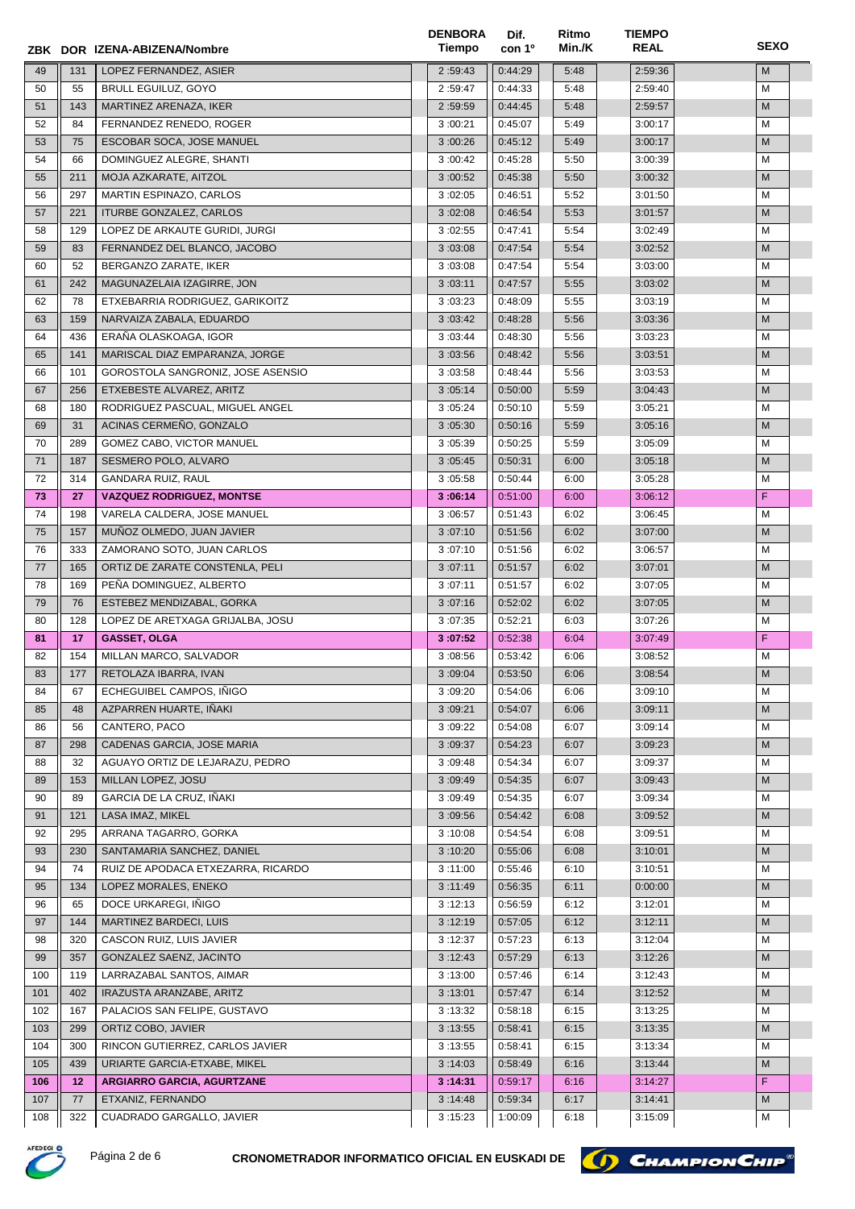|     |     | ZBK DOR IZENA-ABIZENA/Nombre       | <b>DENBORA</b><br>Tiempo | Dif.<br>con 1 <sup>o</sup> | Ritmo<br>Min./K | <b>TIEMPO</b><br><b>REAL</b> | <b>SEXO</b> |
|-----|-----|------------------------------------|--------------------------|----------------------------|-----------------|------------------------------|-------------|
| 49  | 131 | LOPEZ FERNANDEZ, ASIER             | 2:59:43                  | 0:44:29                    | 5:48            | 2:59:36                      | M           |
| 50  | 55  | <b>BRULL EGUILUZ, GOYO</b>         | 2:59:47                  | 0:44:33                    | 5:48            | 2:59:40                      | M           |
| 51  | 143 | MARTINEZ ARENAZA, IKER             | 2:59:59                  | 0:44:45                    | 5:48            | 2:59:57                      | M           |
| 52  | 84  | FERNANDEZ RENEDO, ROGER            | 3:00:21                  | 0:45:07                    | 5:49            | 3:00:17                      | M           |
| 53  | 75  | ESCOBAR SOCA, JOSE MANUEL          | 3:00:26                  | 0:45:12                    | 5:49            | 3:00:17                      | M           |
| 54  | 66  | DOMINGUEZ ALEGRE, SHANTI           | 3:00:42                  | 0:45:28                    | 5:50            | 3:00:39                      | M           |
| 55  | 211 | MOJA AZKARATE, AITZOL              | 3:00:52                  | 0:45:38                    | 5:50            | 3:00:32                      | M           |
| 56  | 297 | MARTIN ESPINAZO, CARLOS            | 3:02:05                  | 0:46:51                    | 5:52            | 3:01:50                      | м           |
| 57  | 221 | ITURBE GONZALEZ, CARLOS            | 3:02:08                  | 0:46:54                    | 5:53            | 3:01:57                      | M           |
| 58  | 129 | LOPEZ DE ARKAUTE GURIDI, JURGI     | 3:02:55                  | 0:47:41                    | 5:54            | 3:02:49                      | м           |
| 59  | 83  | FERNANDEZ DEL BLANCO, JACOBO       | 3:03:08                  | 0:47:54                    | 5:54            | 3:02:52                      | M           |
| 60  | 52  | BERGANZO ZARATE, IKER              | 3:03:08                  | 0:47:54                    | 5:54            | 3:03:00                      | м           |
| 61  | 242 | MAGUNAZELAIA IZAGIRRE, JON         | 3:03:11                  | 0:47:57                    | 5:55            | 3:03:02                      | M           |
| 62  | 78  | ETXEBARRIA RODRIGUEZ, GARIKOITZ    | 3:03:23                  | 0:48:09                    | 5:55            | 3:03:19                      | м           |
| 63  | 159 | NARVAIZA ZABALA, EDUARDO           | 3:03:42                  | 0:48:28                    | 5:56            | 3:03:36                      | M           |
| 64  | 436 | ERAÑA OLASKOAGA, IGOR              | 3:03:44                  | 0:48:30                    | 5:56            | 3:03:23                      | м           |
| 65  | 141 | MARISCAL DIAZ EMPARANZA, JORGE     | 3:03:56                  | 0:48:42                    | 5:56            | 3:03:51                      | M           |
| 66  | 101 | GOROSTOLA SANGRONIZ, JOSE ASENSIO  | 3:03:58                  | 0:48:44                    | 5:56            | 3:03:53                      | м           |
| 67  | 256 | ETXEBESTE ALVAREZ, ARITZ           | 3:05:14                  | 0:50:00                    | 5:59            | 3:04:43                      | M           |
| 68  | 180 | RODRIGUEZ PASCUAL, MIGUEL ANGEL    | 3:05:24                  | 0:50:10                    | 5:59            | 3:05:21                      | M           |
| 69  | 31  | ACINAS CERMEÑO, GONZALO            | 3:05:30                  | 0:50:16                    | 5:59            | 3:05:16                      | M           |
| 70  | 289 | GOMEZ CABO, VICTOR MANUEL          | 3:05:39                  | 0:50:25                    | 5:59            | 3:05:09                      | M           |
| 71  | 187 | SESMERO POLO, ALVARO               | 3:05:45                  | 0:50:31                    | 6:00            | 3:05:18                      | M           |
| 72  | 314 | GANDARA RUIZ, RAUL                 | 3:05:58                  | 0:50:44                    | 6:00            | 3:05:28                      | м           |
| 73  | 27  | <b>VAZQUEZ RODRIGUEZ, MONTSE</b>   | 3:06:14                  | 0:51:00                    | 6:00            | 3:06:12                      | F           |
| 74  | 198 | VARELA CALDERA, JOSE MANUEL        | 3:06:57                  | 0:51:43                    | 6:02            | 3:06:45                      | м           |
| 75  | 157 | MUÑOZ OLMEDO, JUAN JAVIER          | 3:07:10                  | 0:51:56                    | 6:02            | 3:07:00                      | M           |
| 76  | 333 | ZAMORANO SOTO, JUAN CARLOS         | 3:07:10                  | 0:51:56                    | 6:02            | 3:06:57                      | M           |
| 77  | 165 | ORTIZ DE ZARATE CONSTENLA, PELI    | 3:07:11                  | 0:51:57                    | 6:02            | 3:07:01                      | M           |
| 78  | 169 | PEÑA DOMINGUEZ, ALBERTO            | 3:07:11                  | 0:51:57                    | 6:02            | 3:07:05                      | M           |
| 79  | 76  | ESTEBEZ MENDIZABAL, GORKA          | 3:07:16                  | 0:52:02                    | 6:02            | 3:07:05                      | M           |
| 80  | 128 | LOPEZ DE ARETXAGA GRIJALBA, JOSU   | 3:07:35                  | 0:52:21                    | 6:03            | 3:07:26                      | M           |
| 81  | 17  | <b>GASSET, OLGA</b>                | 3:07:52                  | 0:52:38                    | 6:04            | 3:07:49                      | F           |
| 82  | 154 | MILLAN MARCO, SALVADOR             | 3:08:56                  | 0:53:42                    | 6:06            | 3:08:52                      | М           |
| 83  | 177 | RETOLAZA IBARRA, IVAN              | 3:09:04                  | 0:53:50                    | 6:06            | 3:08:54                      | ${\sf M}$   |
| 84  | 67  | ECHEGUIBEL CAMPOS, INIGO           | 3:09:20                  | 0:54:06                    | 6:06            | 3:09:10                      | М           |
| 85  | 48  | AZPARREN HUARTE, IÑAKI             | 3:09:21                  | 0:54:07                    | 6:06            | 3:09:11                      | M           |
| 86  | 56  | CANTERO, PACO                      | 3:09:22                  | 0:54:08                    | 6:07            | 3:09:14                      | M           |
| 87  | 298 | CADENAS GARCIA, JOSE MARIA         | 3:09:37                  | 0:54:23                    | 6:07            | 3:09:23                      | M           |
| 88  | 32  | AGUAYO ORTIZ DE LEJARAZU, PEDRO    | 3:09:48                  | 0:54:34                    | 6:07            | 3:09:37                      | м           |
| 89  | 153 | MILLAN LOPEZ, JOSU                 | 3:09:49                  | 0:54:35                    | 6:07            | 3:09:43                      | M           |
| 90  | 89  | GARCIA DE LA CRUZ, IÑAKI           | 3:09:49                  | 0:54:35                    | 6:07            | 3:09:34                      | м           |
| 91  | 121 | LASA IMAZ, MIKEL                   | 3:09:56                  | 0:54:42                    | 6:08            | 3:09:52                      | M           |
| 92  | 295 | ARRANA TAGARRO, GORKA              | 3:10:08                  | 0:54:54                    | 6:08            | 3:09:51                      | м           |
| 93  | 230 | SANTAMARIA SANCHEZ, DANIEL         | 3:10:20                  | 0:55:06                    | 6:08            | 3:10:01                      | M           |
| 94  | 74  | RUIZ DE APODACA ETXEZARRA, RICARDO | 3:11:00                  | 0:55:46                    | 6:10            | 3:10:51                      | м           |
| 95  | 134 | LOPEZ MORALES, ENEKO               | 3:11:49                  | 0:56:35                    | 6:11            | 0:00:00                      | M           |
| 96  | 65  | DOCE URKAREGI, IÑIGO               | 3:12:13                  | 0:56:59                    | 6:12            | 3:12:01                      | м           |
| 97  | 144 | MARTINEZ BARDECI, LUIS             | 3:12:19                  | 0:57:05                    | 6:12            | 3:12:11                      | M           |
| 98  | 320 | CASCON RUIZ, LUIS JAVIER           | 3:12:37                  | 0:57:23                    | 6:13            | 3:12:04                      | м           |
| 99  | 357 | GONZALEZ SAENZ, JACINTO            | 3:12:43                  | 0:57:29                    | 6:13            | 3:12:26                      | M           |
| 100 | 119 | LARRAZABAL SANTOS, AIMAR           | 3:13:00                  | 0:57:46                    | 6:14            | 3:12:43                      | м           |
| 101 | 402 | IRAZUSTA ARANZABE, ARITZ           | 3:13:01                  | 0:57:47                    | 6:14            | 3:12:52                      | M           |
| 102 | 167 | PALACIOS SAN FELIPE, GUSTAVO       | 3:13:32                  | 0:58:18                    | 6:15            | 3:13:25                      | М           |
| 103 | 299 | ORTIZ COBO, JAVIER                 | 3:13:55                  | 0:58:41                    | 6:15            | 3:13:35                      | M           |
| 104 | 300 | RINCON GUTIERREZ, CARLOS JAVIER    | 3:13:55                  | 0:58:41                    | 6:15            | 3:13:34                      | М           |
| 105 | 439 | URIARTE GARCIA-ETXABE, MIKEL       | 3:14:03                  | 0:58:49                    | 6:16            | 3:13:44                      | M           |
| 106 | 12  | <b>ARGIARRO GARCIA, AGURTZANE</b>  | 3:14:31                  | 0:59:17                    | 6:16            | 3:14:27                      | F           |
| 107 | 77  | ETXANIZ, FERNANDO                  | 3:14:48                  | 0:59:34                    | 6:17            | 3:14:41                      | M           |
| 108 | 322 | CUADRADO GARGALLO, JAVIER          | 3:15:23                  | 1:00:09                    | 6:18            | 3:15:09                      | м           |



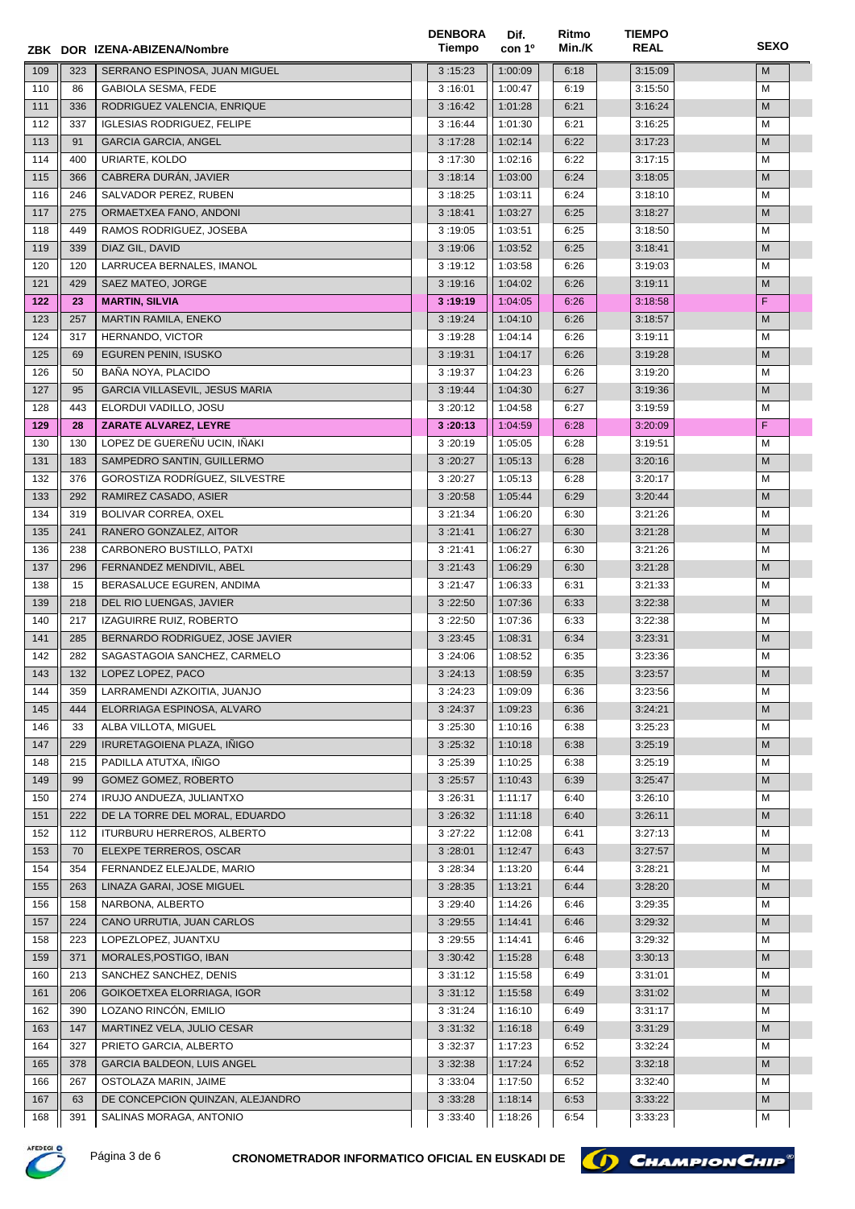|            |     | ZBK DOR IZENA-ABIZENA/Nombre                                | <b>DENBORA</b><br>Tiempo | Dif.<br>con 1 <sup>o</sup> | Ritmo<br>Min./K | <b>TIEMPO</b><br><b>REAL</b> | <b>SEXO</b> |
|------------|-----|-------------------------------------------------------------|--------------------------|----------------------------|-----------------|------------------------------|-------------|
| 109        | 323 | SERRANO ESPINOSA, JUAN MIGUEL                               | 3:15:23                  | 1:00:09                    | 6:18            | 3:15:09                      | M           |
| 110        | 86  | GABIOLA SESMA, FEDE                                         | 3:16:01                  | 1:00:47                    | 6:19            | 3:15:50                      | M           |
| 111        | 336 | RODRIGUEZ VALENCIA, ENRIQUE                                 | 3:16:42                  | 1:01:28                    | 6:21            | 3:16:24                      | M           |
| 112        | 337 | <b>IGLESIAS RODRIGUEZ, FELIPE</b>                           | 3:16:44                  | 1:01:30                    | 6:21            | 3:16:25                      | M           |
| 113        | 91  | <b>GARCIA GARCIA, ANGEL</b>                                 | 3:17:28                  | 1:02:14                    | 6:22            | 3:17:23                      | M           |
| 114        | 400 | URIARTE, KOLDO                                              | 3:17:30                  | 1:02:16                    | 6:22            | 3:17:15                      | M           |
| 115        | 366 | CABRERA DURÁN, JAVIER                                       | 3:18:14                  | 1:03:00                    | 6:24            | 3:18:05                      | M           |
| 116        | 246 | SALVADOR PEREZ, RUBEN                                       | 3:18:25                  | 1:03:11                    | 6:24            | 3:18:10                      | м           |
| 117        | 275 | ORMAETXEA FANO, ANDONI                                      | 3:18:41                  | 1:03:27                    | 6:25            | 3:18:27                      | M           |
| 118        | 449 | RAMOS RODRIGUEZ, JOSEBA                                     | 3:19:05                  | 1:03:51                    | 6:25            | 3:18:50                      | м           |
| 119        | 339 | DIAZ GIL, DAVID                                             | 3:19:06                  | 1:03:52                    | 6:25            | 3:18:41                      | M           |
| 120        | 120 | LARRUCEA BERNALES, IMANOL                                   | 3:19:12                  | 1:03:58                    | 6:26            | 3:19:03                      | м           |
|            |     |                                                             |                          |                            |                 |                              | M           |
| 121        | 429 | SAEZ MATEO, JORGE                                           | 3:19:16                  | 1:04:02                    | 6:26            | 3:19:11                      | F           |
| 122        | 23  | <b>MARTIN, SILVIA</b>                                       | 3:19:19                  | 1:04:05                    | 6:26            | 3:18:58                      |             |
| 123        | 257 | MARTIN RAMILA, ENEKO                                        | 3:19:24                  | 1:04:10                    | 6:26            | 3:18:57                      | M           |
| 124        | 317 | HERNANDO, VICTOR                                            | 3:19:28                  | 1:04:14                    | 6:26            | 3:19:11                      | м           |
| 125        | 69  | EGUREN PENIN, ISUSKO                                        | 3:19:31                  | 1:04:17                    | 6:26            | 3:19:28                      | M           |
| 126        | 50  | BAÑA NOYA, PLACIDO                                          | 3:19:37                  | 1:04:23                    | 6:26            | 3:19:20                      | м           |
| 127        | 95  | GARCIA VILLASEVIL, JESUS MARIA                              | 3:19:44                  | 1:04:30                    | 6:27            | 3:19:36                      | M           |
| 128        | 443 | ELORDUI VADILLO, JOSU                                       | 3:20:12                  | 1:04:58                    | 6:27            | 3:19:59                      | M           |
| 129        | 28  | ZARATE ALVAREZ, LEYRE                                       | 3:20:13                  | 1:04:59                    | 6:28            | 3:20:09                      | F           |
| 130        | 130 | LOPEZ DE GUEREÑU UCIN, IÑAKI                                | 3:20:19                  | 1:05:05                    | 6:28            | 3:19:51                      | M           |
| 131        | 183 | SAMPEDRO SANTIN, GUILLERMO                                  | 3:20:27                  | 1:05:13                    | 6:28            | 3:20:16                      | M           |
| 132        | 376 | GOROSTIZA RODRÍGUEZ, SILVESTRE                              | 3:20:27                  | 1:05:13                    | 6:28            | 3:20:17                      | м           |
| 133        | 292 | RAMIREZ CASADO, ASIER                                       | 3:20:58                  | 1:05:44                    | 6:29            | 3:20:44                      | M           |
| 134        | 319 | BOLIVAR CORREA, OXEL                                        | 3:21:34                  | 1:06:20                    | 6:30            | 3:21:26                      | м           |
| 135        | 241 | RANERO GONZALEZ, AITOR                                      | 3:21:41                  | 1:06:27                    | 6:30            | 3:21:28                      | M           |
| 136        | 238 | CARBONERO BUSTILLO, PATXI                                   | 3:21:41                  | 1:06:27                    | 6:30            | 3:21:26                      | м           |
| 137        | 296 | FERNANDEZ MENDIVIL, ABEL                                    | 3:21:43                  | 1:06:29                    | 6:30            | 3:21:28                      | M           |
| 138        | 15  | BERASALUCE EGUREN, ANDIMA                                   | 3:21:47                  | 1:06:33                    | 6:31            | 3:21:33                      | M           |
| 139        | 218 | DEL RIO LUENGAS, JAVIER                                     | 3:22:50                  | 1:07:36                    | 6:33            | 3:22:38                      | M           |
| 140        | 217 | IZAGUIRRE RUIZ, ROBERTO                                     | 3:22:50                  | 1:07:36                    | 6:33            | 3:22:38                      | м           |
| 141        | 285 | BERNARDO RODRIGUEZ, JOSE JAVIER                             | 3:23:45                  | 1:08:31                    | 6:34            | 3:23:31                      | M           |
| 142        | 282 | SAGASTAGOIA SANCHEZ, CARMELO                                | 3:24:06                  | 1:08:52                    | 6:35            | 3:23:36                      | М           |
| 143        | 132 | LOPEZ LOPEZ, PACO                                           | 3:24:13                  | 1:08:59                    | 6:35            | 3:23:57                      | ${\sf M}$   |
| 144        | 359 | LARRAMENDI AZKOITIA, JUANJO                                 | 3:24:23                  | 1:09:09                    | 6:36            | 3:23:56                      | М           |
| 145        | 444 | ELORRIAGA ESPINOSA, ALVARO                                  | 3:24:37                  | 1:09:23                    | 6:36            | 3:24:21                      | M           |
| 146        | 33  | ALBA VILLOTA, MIGUEL                                        | 3:25:30                  | 1:10:16                    | 6:38            | 3:25:23                      | М           |
| 147        | 229 | IRURETAGOIENA PLAZA, IÑIGO                                  | 3:25:32                  | 1:10:18                    | 6:38            | 3:25:19                      | M           |
| 148        | 215 | PADILLA ATUTXA, IÑIGO                                       | 3:25:39                  | 1:10:25                    | 6:38            | 3:25:19                      | м           |
| 149        | 99  | GOMEZ GOMEZ, ROBERTO                                        | 3:25:57                  | 1:10:43                    | 6:39            | 3:25:47                      | M           |
| 150        | 274 | IRUJO ANDUEZA, JULIANTXO                                    | 3:26:31                  | 1:11:17                    | 6:40            | 3:26:10                      | м           |
| 151        | 222 | DE LA TORRE DEL MORAL, EDUARDO                              | 3:26:32                  | 1:11:18                    | 6:40            | 3:26:11                      | M           |
|            | 112 |                                                             |                          | 1:12:08                    |                 | 3:27:13                      | м           |
| 152<br>153 | 70  | <b>ITURBURU HERREROS, ALBERTO</b><br>ELEXPE TERREROS, OSCAR | 3:27:22                  | 1:12:47                    | 6:41<br>6:43    | 3:27:57                      | M           |
|            |     |                                                             | 3:28:01                  |                            |                 |                              |             |
| 154        | 354 | FERNANDEZ ELEJALDE, MARIO                                   | 3:28:34                  | 1:13:20                    | 6:44            | 3:28:21                      | м           |
| 155        | 263 | LINAZA GARAI, JOSE MIGUEL                                   | 3:28:35                  | 1:13:21                    | 6:44            | 3:28:20                      | M           |
| 156        | 158 | NARBONA, ALBERTO                                            | 3:29:40                  | 1:14:26                    | 6:46            | 3:29:35                      | м           |
| 157        | 224 | CANO URRUTIA, JUAN CARLOS                                   | 3:29:55                  | 1:14:41                    | 6:46            | 3:29:32                      | M           |
| 158        | 223 | LOPEZLOPEZ, JUANTXU                                         | 3:29:55                  | 1:14:41                    | 6:46            | 3:29:32                      | м           |
| 159        | 371 | MORALES, POSTIGO, IBAN                                      | 3:30:42                  | 1:15:28                    | 6:48            | 3:30:13                      | M           |
| 160        | 213 | SANCHEZ SANCHEZ, DENIS                                      | 3:31:12                  | 1:15:58                    | 6:49            | 3:31:01                      | м           |
| 161        | 206 | GOIKOETXEA ELORRIAGA, IGOR                                  | 3:31:12                  | 1:15:58                    | 6:49            | 3:31:02                      | M           |
| 162        | 390 | LOZANO RINCÓN, EMILIO                                       | 3:31:24                  | 1:16:10                    | 6:49            | 3:31:17                      | М           |
| 163        | 147 | MARTINEZ VELA, JULIO CESAR                                  | 3:31:32                  | 1:16:18                    | 6:49            | 3:31:29                      | M           |
| 164        | 327 | PRIETO GARCIA, ALBERTO                                      | 3:32:37                  | 1:17:23                    | 6:52            | 3:32:24                      | М           |
| 165        | 378 | GARCIA BALDEON, LUIS ANGEL                                  | 3:32:38                  | 1:17:24                    | 6:52            | 3:32:18                      | M           |
| 166        | 267 | OSTOLAZA MARIN, JAIME                                       | 3:33:04                  | 1:17:50                    | 6:52            | 3:32:40                      | м           |
| 167        | 63  | DE CONCEPCION QUINZAN, ALEJANDRO                            | 3:33:28                  | 1:18:14                    | 6:53            | 3:33:22                      | M           |
| 168        | 391 | SALINAS MORAGA, ANTONIO                                     | 3:33:40                  | 1:18:26                    | 6:54            | 3:33:23                      | M           |



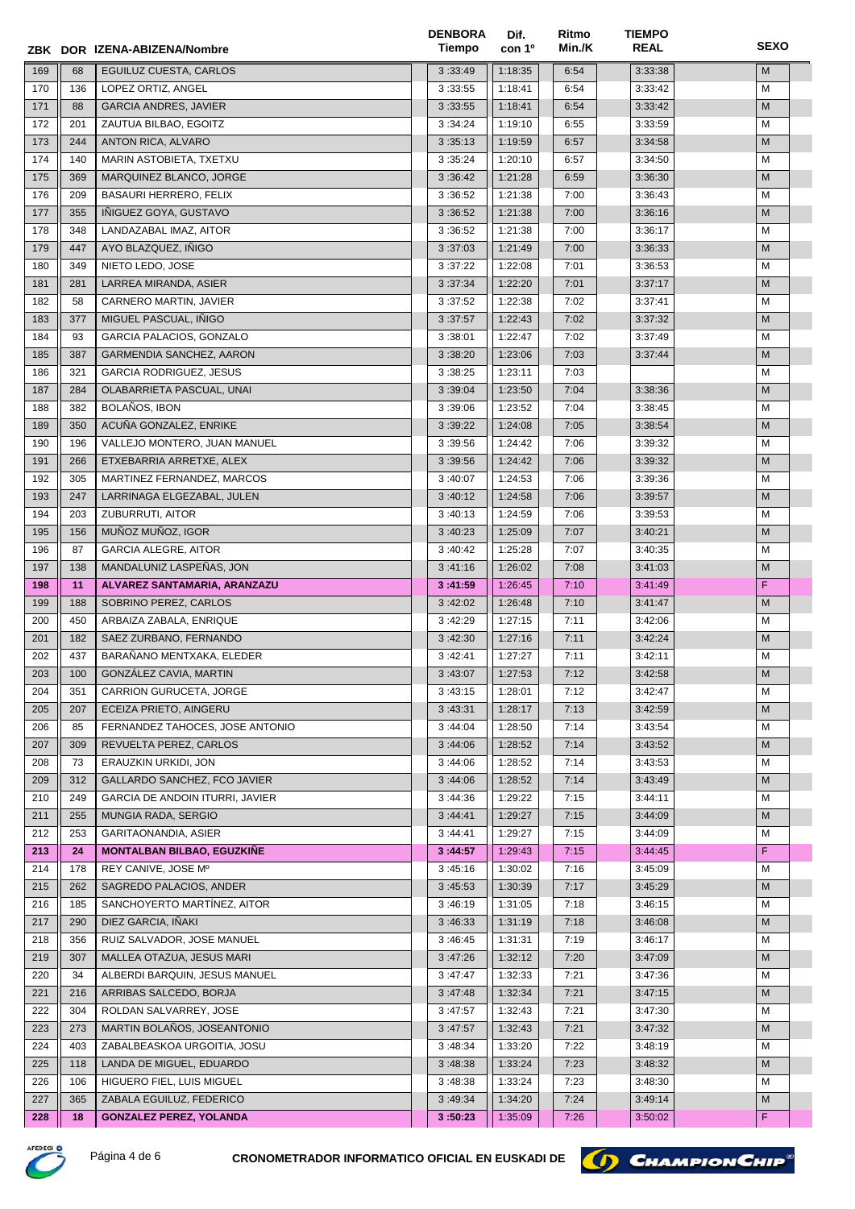|     |     | ZBK DOR IZENA-ABIZENA/Nombre      | <b>DENBORA</b><br>Tiempo | Dif.<br>con 1 <sup>o</sup> | Ritmo<br>Min./K | <b>TIEMPO</b><br><b>REAL</b> | <b>SEXO</b>                                                                                                |
|-----|-----|-----------------------------------|--------------------------|----------------------------|-----------------|------------------------------|------------------------------------------------------------------------------------------------------------|
| 169 | 68  | EGUILUZ CUESTA, CARLOS            | 3:33:49                  | 1:18:35                    | 6:54            | 3:33:38                      | M                                                                                                          |
| 170 | 136 | LOPEZ ORTIZ, ANGEL                | 3:33:55                  | 1:18:41                    | 6:54            | 3:33:42                      | M                                                                                                          |
| 171 | 88  | <b>GARCIA ANDRES, JAVIER</b>      | 3:33:55                  | 1:18:41                    | 6:54            | 3:33:42                      | M                                                                                                          |
| 172 | 201 | ZAUTUA BILBAO, EGOITZ             | 3:34:24                  | 1:19:10                    | 6:55            | 3:33:59                      | M                                                                                                          |
| 173 | 244 | ANTON RICA, ALVARO                | 3:35:13                  | 1:19:59                    | 6:57            | 3:34:58                      | M                                                                                                          |
| 174 | 140 | MARIN ASTOBIETA, TXETXU           | 3:35:24                  | 1:20:10                    | 6:57            | 3:34:50                      | М                                                                                                          |
| 175 | 369 | MARQUINEZ BLANCO, JORGE           | 3:36:42                  | 1:21:28                    | 6:59            | 3:36:30                      | M                                                                                                          |
| 176 | 209 | <b>BASAURI HERRERO, FELIX</b>     | 3:36:52                  | 1:21:38                    | 7:00            | 3:36:43                      | М                                                                                                          |
| 177 | 355 | INIGUEZ GOYA, GUSTAVO             | 3:36:52                  | 1:21:38                    | 7:00            | 3:36:16                      | M                                                                                                          |
| 178 | 348 | LANDAZABAL IMAZ, AITOR            | 3:36:52                  | 1:21:38                    | 7:00            | 3:36:17                      | м                                                                                                          |
| 179 | 447 | AYO BLAZQUEZ, IÑIGO               | 3:37:03                  | 1:21:49                    | 7:00            | 3:36:33                      | M                                                                                                          |
| 180 | 349 | NIETO LEDO, JOSE                  | 3:37:22                  | 1:22:08                    |                 | 3:36:53                      | м                                                                                                          |
|     |     |                                   |                          |                            | 7:01            |                              |                                                                                                            |
| 181 | 281 | LARREA MIRANDA, ASIER             | 3:37:34                  | 1:22:20                    | 7:01            | 3:37:17                      | M                                                                                                          |
| 182 | 58  | CARNERO MARTIN, JAVIER            | 3:37:52                  | 1:22:38                    | 7:02            | 3:37:41                      | М                                                                                                          |
| 183 | 377 | MIGUEL PASCUAL, INIGO             | 3:37:57                  | 1:22:43                    | 7:02            | 3:37:32                      | M                                                                                                          |
| 184 | 93  | GARCIA PALACIOS, GONZALO          | 3:38:01                  | 1:22:47                    | 7:02            | 3:37:49                      | м                                                                                                          |
| 185 | 387 | GARMENDIA SANCHEZ, AARON          | 3:38:20                  | 1:23:06                    | 7:03            | 3:37:44                      | M                                                                                                          |
| 186 | 321 | <b>GARCIA RODRIGUEZ, JESUS</b>    | 3:38:25                  | 1:23:11                    | 7:03            |                              | М                                                                                                          |
| 187 | 284 | OLABARRIETA PASCUAL, UNAI         | 3:39:04                  | 1:23:50                    | 7:04            | 3:38:36                      | M                                                                                                          |
| 188 | 382 | BOLAÑOS, IBON                     | 3:39:06                  | 1:23:52                    | 7:04            | 3:38:45                      | м                                                                                                          |
| 189 | 350 | ACUÑA GONZALEZ, ENRIKE            | 3:39:22                  | 1:24:08                    | 7:05            | 3:38:54                      | M                                                                                                          |
| 190 | 196 | VALLEJO MONTERO, JUAN MANUEL      | 3:39:56                  | 1:24:42                    | 7:06            | 3:39:32                      | M                                                                                                          |
| 191 | 266 | ETXEBARRIA ARRETXE, ALEX          | 3:39:56                  | 1:24:42                    | 7:06            | 3:39:32                      | M                                                                                                          |
| 192 | 305 | MARTINEZ FERNANDEZ, MARCOS        | 3:40:07                  | 1:24:53                    | 7:06            | 3:39:36                      | М                                                                                                          |
| 193 | 247 | LARRINAGA ELGEZABAL, JULEN        | 3:40:12                  | 1:24:58                    | 7:06            | 3:39:57                      | M                                                                                                          |
| 194 | 203 | ZUBURRUTI, AITOR                  | 3:40:13                  | 1:24:59                    | 7:06            | 3:39:53                      | М                                                                                                          |
| 195 | 156 | MUÑOZ MUÑOZ, IGOR                 | 3:40:23                  | 1:25:09                    | 7:07            | 3:40:21                      | M                                                                                                          |
| 196 | 87  | <b>GARCIA ALEGRE, AITOR</b>       | 3:40:42                  | 1:25:28                    | 7:07            | 3:40:35                      | м                                                                                                          |
| 197 | 138 | MANDALUNIZ LASPEÑAS, JON          | 3:41:16                  | 1:26:02                    | 7:08            | 3:41:03                      | M                                                                                                          |
| 198 | 11  | ALVAREZ SANTAMARIA, ARANZAZU      | 3:41:59                  | 1:26:45                    | 7:10            | 3:41:49                      | F                                                                                                          |
| 199 | 188 | SOBRINO PEREZ, CARLOS             | 3:42:02                  | 1:26:48                    | 7:10            | 3:41:47                      | M                                                                                                          |
| 200 | 450 | ARBAIZA ZABALA, ENRIQUE           | 3:42:29                  | 1:27:15                    | 7:11            | 3:42:06                      | М                                                                                                          |
| 201 | 182 | SAEZ ZURBANO, FERNANDO            | 3:42:30                  | 1:27:16                    | 7:11            | 3:42:24                      | M                                                                                                          |
| 202 | 437 | BARAÑANO MENTXAKA, ELEDER         | 3:42:41                  | 1:27:27                    | 7:11            | 3:42:11                      | М                                                                                                          |
| 203 | 100 | GONZÁLEZ CAVIA, MARTIN            | 3:43:07                  | 1:27:53                    | 7:12            | 3:42:58                      | $\mathsf{M}% _{T}=\mathsf{M}_{T}\!\left( a,b\right) ,\ \mathsf{M}_{T}=\mathsf{M}_{T}\!\left( a,b\right) ,$ |
| 204 | 351 | CARRION GURUCETA, JORGE           | 3:43:15                  | 1:28:01                    | 7:12            | 3:42:47                      | М                                                                                                          |
| 205 | 207 | ECEIZA PRIETO, AINGERU            | 3:43:31                  | 1:28:17                    | 7:13            | 3:42:59                      | M                                                                                                          |
| 206 | 85  | FERNANDEZ TAHOCES, JOSE ANTONIO   | 3:44:04                  | 1:28:50                    | 7:14            | 3:43:54                      | м                                                                                                          |
| 207 | 309 | REVUELTA PEREZ, CARLOS            | 3:44:06                  | 1:28:52                    | 7:14            | 3:43:52                      | M                                                                                                          |
| 208 | 73  | ERAUZKIN URKIDI, JON              | 3:44:06                  | 1:28:52                    | 7:14            | 3:43:53                      | М                                                                                                          |
| 209 | 312 | GALLARDO SANCHEZ, FCO JAVIER      | 3:44:06                  | 1:28:52                    | 7:14            | 3:43:49                      | M                                                                                                          |
| 210 | 249 | GARCIA DE ANDOIN ITURRI, JAVIER   | 3:44:36                  | 1:29:22                    | 7:15            | 3:44:11                      | м                                                                                                          |
| 211 | 255 | MUNGIA RADA, SERGIO               | 3:44:41                  | 1:29:27                    | 7:15            | 3:44:09                      | M                                                                                                          |
| 212 | 253 | GARITAONANDIA, ASIER              | 3:44:41                  | 1:29:27                    | 7:15            | 3:44:09                      | м                                                                                                          |
|     |     | <b>MONTALBAN BILBAO, EGUZKIÑE</b> |                          |                            |                 |                              |                                                                                                            |
| 213 | 24  |                                   | 3:44:57                  | 1:29:43                    | 7:15            | 3:44:45                      | F                                                                                                          |
| 214 | 178 | REY CANIVE, JOSE Mº               | 3:45:16                  | 1:30:02                    | 7:16            | 3:45:09                      | м                                                                                                          |
| 215 | 262 | SAGREDO PALACIOS, ANDER           | 3:45:53                  | 1:30:39                    | 7:17            | 3:45:29                      | M                                                                                                          |
| 216 | 185 | SANCHOYERTO MARTINEZ, AITOR       | 3:46:19                  | 1:31:05                    | 7:18            | 3:46:15                      | м                                                                                                          |
| 217 | 290 | DIEZ GARCIA, IÑAKI                | 3:46:33                  | 1:31:19                    | 7:18            | 3:46:08                      | M                                                                                                          |
| 218 | 356 | RUIZ SALVADOR, JOSE MANUEL        | 3:46:45                  | 1:31:31                    | 7:19            | 3:46:17                      | м                                                                                                          |
| 219 | 307 | MALLEA OTAZUA, JESUS MARI         | 3:47:26                  | 1:32:12                    | 7:20            | 3:47:09                      | М                                                                                                          |
| 220 | 34  | ALBERDI BARQUIN, JESUS MANUEL     | 3:47:47                  | 1:32:33                    | 7:21            | 3:47:36                      | м                                                                                                          |
| 221 | 216 | ARRIBAS SALCEDO, BORJA            | 3:47:48                  | 1:32:34                    | 7:21            | 3:47:15                      | M                                                                                                          |
| 222 | 304 | ROLDAN SALVARREY, JOSE            | 3:47:57                  | 1:32:43                    | 7:21            | 3:47:30                      | М                                                                                                          |
| 223 | 273 | MARTIN BOLAÑOS, JOSEANTONIO       | 3:47:57                  | 1:32:43                    | 7:21            | 3:47:32                      | M                                                                                                          |
| 224 | 403 | ZABALBEASKOA URGOITIA, JOSU       | 3:48:34                  | 1:33:20                    | 7:22            | 3:48:19                      | м                                                                                                          |
| 225 | 118 | LANDA DE MIGUEL, EDUARDO          | 3:48:38                  | 1:33:24                    | 7:23            | 3:48:32                      | M                                                                                                          |
| 226 | 106 | HIGUERO FIEL, LUIS MIGUEL         | 3:48:38                  | 1:33:24                    | 7:23            | 3:48:30                      | м                                                                                                          |
| 227 | 365 | ZABALA EGUILUZ, FEDERICO          | 3:49:34                  | 1:34:20                    | 7:24            | 3:49:14                      | M                                                                                                          |
| 228 | 18  | <b>GONZALEZ PEREZ, YOLANDA</b>    | 3:50:23                  | 1:35:09                    | 7:26            | 3:50:02                      | F.                                                                                                         |



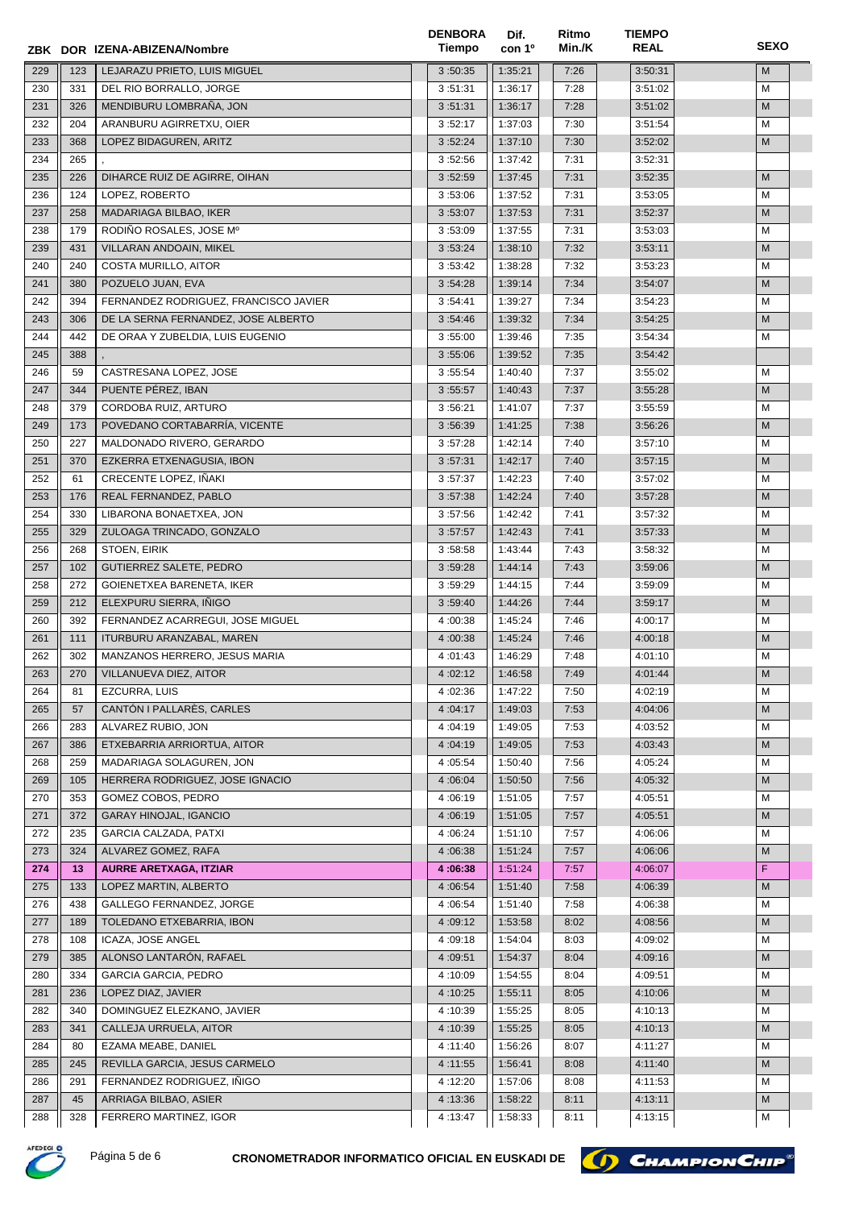|            |     | ZBK DOR IZENA-ABIZENA/Nombre          | <b>DENBORA</b><br>Tiempo | Dif.<br>con 1 <sup>o</sup> | Ritmo<br>Min./K | <b>TIEMPO</b><br><b>REAL</b> | <b>SEXO</b> |
|------------|-----|---------------------------------------|--------------------------|----------------------------|-----------------|------------------------------|-------------|
| 229        | 123 | LEJARAZU PRIETO, LUIS MIGUEL          | 3:50:35                  | 1:35:21                    | 7:26            | 3:50:31                      | M           |
| 230        | 331 | DEL RIO BORRALLO, JORGE               | 3:51:31                  | 1:36:17                    | 7:28            | 3:51:02                      | M           |
| 231        | 326 | MENDIBURU LOMBRAÑA, JON               | 3:51:31                  | 1:36:17                    | 7:28            | 3:51:02                      | M           |
| 232        | 204 | ARANBURU AGIRRETXU, OIER              | 3:52:17                  | 1:37:03                    | 7:30            | 3:51:54                      | M           |
| 233        | 368 | LOPEZ BIDAGUREN, ARITZ                | 3:52:24                  | 1:37:10                    | 7:30            | 3:52:02                      | M           |
| 234        | 265 |                                       | 3:52:56                  | 1:37:42                    | 7:31            | 3:52:31                      |             |
| 235        | 226 | DIHARCE RUIZ DE AGIRRE, OIHAN         | 3:52:59                  | 1:37:45                    | 7:31            | 3:52:35                      | M           |
| 236        | 124 | LOPEZ, ROBERTO                        | 3:53:06                  | 1:37:52                    | 7:31            | 3:53:05                      | м           |
| 237        | 258 | MADARIAGA BILBAO, IKER                | 3:53:07                  | 1:37:53                    | 7:31            | 3:52:37                      | M           |
| 238        | 179 | RODIÑO ROSALES, JOSE Mº               | 3:53:09                  | 1:37:55                    | 7:31            | 3:53:03                      | м           |
| 239        | 431 | VILLARAN ANDOAIN, MIKEL               | 3:53:24                  | 1:38:10                    | 7:32            | 3:53:11                      | M           |
| 240        | 240 | COSTA MURILLO, AITOR                  | 3:53:42                  | 1:38:28                    | 7:32            | 3:53:23                      | М           |
| 241        | 380 | POZUELO JUAN, EVA                     | 3:54:28                  | 1:39:14                    | 7:34            | 3:54:07                      | M           |
| 242        | 394 | FERNANDEZ RODRIGUEZ, FRANCISCO JAVIER | 3:54:41                  | 1:39:27                    | 7:34            | 3:54:23                      | М           |
| 243        | 306 | DE LA SERNA FERNANDEZ, JOSE ALBERTO   | 3:54:46                  | 1:39:32                    | 7:34            | 3:54:25                      | M           |
| 244        | 442 | DE ORAA Y ZUBELDIA, LUIS EUGENIO      | 3:55:00                  | 1:39:46                    | 7:35            | 3:54:34                      | м           |
| 245        | 388 |                                       | 3:55:06                  | 1:39:52                    | 7:35            | 3:54:42                      |             |
| 246        | 59  | CASTRESANA LOPEZ, JOSE                | 3:55:54                  | 1:40:40                    | 7:37            | 3:55:02                      | м           |
| 247        | 344 | PUENTE PÉREZ, IBAN                    | 3:55:57                  | 1:40:43                    | 7:37            | 3:55:28                      | M           |
| 248        | 379 | CORDOBA RUIZ, ARTURO                  | 3:56:21                  | 1:41:07                    | 7:37            | 3:55:59                      | м           |
| 249        | 173 | POVEDANO CORTABARRÍA, VICENTE         | 3:56:39                  | 1:41:25                    | 7:38            | 3:56:26                      | M           |
| 250        | 227 | MALDONADO RIVERO, GERARDO             | 3:57:28                  | 1:42:14                    | 7:40            | 3:57:10                      | M           |
| 251        | 370 | EZKERRA ETXENAGUSIA, IBON             | 3:57:31                  | 1:42:17                    | 7:40            | 3:57:15                      | M           |
| 252        | 61  | CRECENTE LOPEZ, IÑAKI                 | 3:57:37                  | 1:42:23                    | 7:40            | 3:57:02                      | М           |
| 253        | 176 | REAL FERNANDEZ, PABLO                 | 3:57:38                  | 1:42:24                    | 7:40            | 3:57:28                      | M           |
| 254        | 330 | LIBARONA BONAETXEA, JON               | 3:57:56                  | 1:42:42                    | 7:41            | 3:57:32                      | М           |
| 255        | 329 | ZULOAGA TRINCADO, GONZALO             | 3:57:57                  | 1:42:43                    | 7:41            | 3:57:33                      | M           |
| 256        | 268 | STOEN, EIRIK                          | 3:58:58                  | 1:43:44                    | 7:43            | 3:58:32                      | м           |
| 257        | 102 | GUTIERREZ SALETE, PEDRO               | 3:59:28                  | 1:44:14                    | 7:43            | 3:59:06                      | M           |
| 258        | 272 | GOIENETXEA BARENETA, IKER             | 3:59:29                  | 1:44:15                    | 7:44            | 3:59:09                      | М           |
| 259        | 212 | ELEXPURU SIERRA, IÑIGO                | 3:59:40                  | 1:44:26                    | 7:44            | 3:59:17                      | M           |
| 260        | 392 | FERNANDEZ ACARREGUI, JOSE MIGUEL      | 4:00:38                  | 1:45:24                    | 7:46            | 4:00:17                      | М           |
| 261        | 111 | ITURBURU ARANZABAL, MAREN             | 4:00:38                  | 1:45:24                    | 7:46            | 4:00:18                      | M           |
| 262        | 302 | MANZANOS HERRERO, JESUS MARIA         | 4:01:43                  | 1:46:29                    | 7:48            | 4:01:10                      | М           |
| 263        | 270 | VILLANUEVA DIEZ, AITOR                | 4:02:12                  | 1:46:58                    | 7:49            | 4:01:44                      | ${\sf M}$   |
| 264        | 81  | EZCURRA, LUIS                         | 4:02:36                  | 1:47:22                    | 7:50            | 4:02:19                      | М           |
| 265        | 57  | CANTÓN I PALLARÉS, CARLES             | 4:04:17                  | 1:49:03                    | 7:53            | 4:04:06                      | M           |
| 266        | 283 | ALVAREZ RUBIO, JON                    | 4:04:19                  | 1:49:05                    | 7:53            | 4:03:52                      | м           |
| 267        | 386 | ETXEBARRIA ARRIORTUA, AITOR           | 4:04:19                  | 1:49:05                    | 7:53            | 4:03:43                      | M           |
| 268        | 259 | MADARIAGA SOLAGUREN, JON              | 4:05:54                  | 1:50:40                    | 7:56            | 4:05:24                      |             |
| 269        | 105 | HERRERA RODRIGUEZ, JOSE IGNACIO       | 4:06:04                  | 1:50:50                    | 7:56            | 4:05:32                      | M<br>M      |
| 270        | 353 | GOMEZ COBOS, PEDRO                    | 4:06:19                  | 1:51:05                    | 7:57            | 4:05:51                      | м           |
| 271        | 372 | <b>GARAY HINOJAL, IGANCIO</b>         | 4:06:19                  | 1:51:05                    | 7:57            | 4:05:51                      | M           |
| 272        | 235 | GARCIA CALZADA, PATXI                 | 4:06:24                  | 1:51:10                    | 7:57            | 4:06:06                      | М           |
| 273        | 324 | ALVAREZ GOMEZ, RAFA                   | 4:06:38                  | 1:51:24                    | 7:57            | 4:06:06                      | M           |
| 274        | 13  | <b>AURRE ARETXAGA, ITZIAR</b>         | 4:06:38                  | 1:51:24                    | 7:57            | 4:06:07                      | F           |
| 275        | 133 | LOPEZ MARTIN, ALBERTO                 | 4:06:54                  | 1:51:40                    | 7:58            | 4:06:39                      | M           |
| 276        | 438 | GALLEGO FERNANDEZ, JORGE              | 4:06:54                  | 1:51:40                    | 7:58            | 4:06:38                      | М           |
| 277        | 189 | TOLEDANO ETXEBARRIA, IBON             | 4:09:12                  | 1:53:58                    | 8:02            | 4:08:56                      | M           |
| 278        | 108 | ICAZA, JOSE ANGEL                     | 4:09:18                  | 1:54:04                    | 8:03            | 4:09:02                      | м           |
| 279        | 385 | ALONSO LANTARÓN, RAFAEL               | 4:09:51                  | 1:54:37                    | 8:04            | 4:09:16                      | M           |
| 280        | 334 | <b>GARCIA GARCIA, PEDRO</b>           | 4:10:09                  | 1:54:55                    | 8:04            | 4:09:51                      | М           |
| 281        | 236 | LOPEZ DIAZ, JAVIER                    | 4:10:25                  | 1:55:11                    | 8:05            | 4:10:06                      | M           |
| 282        | 340 | DOMINGUEZ ELEZKANO, JAVIER            |                          | 1:55:25                    | 8:05            | 4:10:13                      | м           |
|            |     |                                       | 4:10:39                  |                            |                 |                              | M           |
| 283        | 341 | CALLEJA URRUELA, AITOR                | 4:10:39                  | 1:55:25                    | 8:05            | 4:10:13                      |             |
| 284        | 80  | EZAMA MEABE, DANIEL                   | 4:11:40                  | 1:56:26                    | 8:07            | 4:11:27                      | М           |
| 285<br>286 | 245 | REVILLA GARCIA, JESUS CARMELO         | 4:11:55                  | 1:56:41                    | 8:08            | 4:11:40                      | M           |
|            | 291 | FERNANDEZ RODRIGUEZ, IÑIGO            | 4:12:20                  | 1:57:06                    | 8:08            | 4:11:53                      | М<br>M      |
| 287        | 45  | ARRIAGA BILBAO, ASIER                 | 4:13:36                  | 1:58:22                    | 8:11            | 4:13:11                      |             |
| 288        | 328 | FERRERO MARTINEZ, IGOR                | 4:13:47                  | 1:58:33                    | 8:11            | 4:13:15                      | M           |